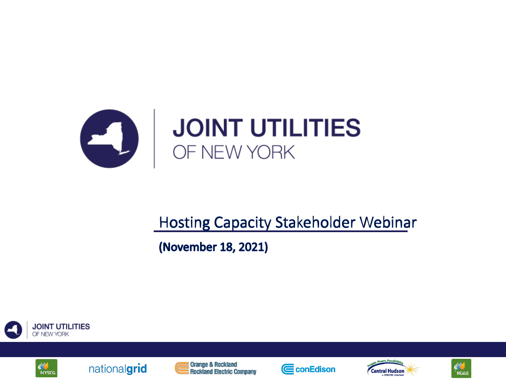

### **Hosting Capacity Stakeholder Webinar**

(November 18, 2021)











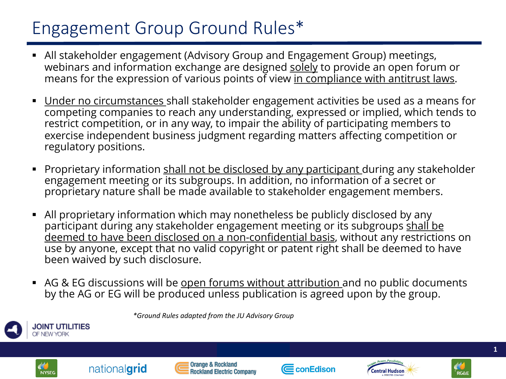## Engagement Group Ground Rules\*

- § All stakeholder engagement (Advisory Group and Engagement Group) meetings, webinars and information exchange are designed solely to provide an open forum or means for the expression of various points of view in compliance with antitrust laws.
- Under no circumstances shall stakeholder engagement activities be used as a means for competing companies to reach any understanding, expressed or implied, which tends to restrict competition, or in any way, to impair the ability of participating members to exercise independent business judgment regarding matters affecting competition or regulatory positions.
- Proprietary information shall not be disclosed by any participant during any stakeholder engagement meeting or its subgroups. In addition, no information of a secret or proprietary nature shall be made available to stakeholder engagement members.
- § All proprietary information which may nonetheless be publicly disclosed by any participant during any stakeholder engagement meeting or its subgroups shall be deemed to have been disclosed on a non-confidential basis, without any restrictions on use by anyone, except that no valid copyright or patent right shall be deemed to have been waived by such disclosure.
- AG & EG discussions will be open forums without attribution and no public documents by the AG or EG will be produced unless publication is agreed upon by the group.



*\*Ground Rules adapted from the JU Advisory Group*









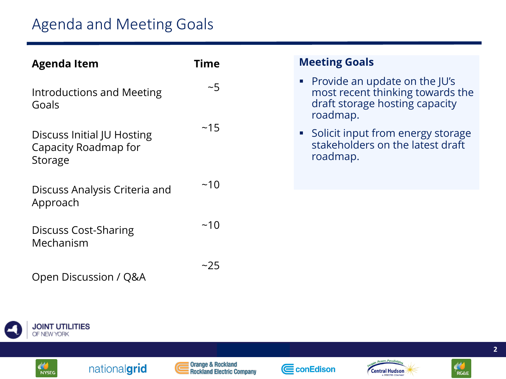| <b>Agenda Item</b>                                            | Time | <b>Meeting Goals</b>                                                                                              |
|---------------------------------------------------------------|------|-------------------------------------------------------------------------------------------------------------------|
| Introductions and Meeting<br>Goals                            | ~1   | • Provide an update on the JU's<br>most recent thinking towards the<br>draft storage hosting capacity<br>roadmap. |
| Discuss Initial JU Hosting<br>Capacity Roadmap for<br>Storage | ~15  | • Solicit input from energy storage<br>stakeholders on the latest draft<br>roadmap.                               |
| Discuss Analysis Criteria and<br>Approach                     | ~10  |                                                                                                                   |
| <b>Discuss Cost-Sharing</b><br>Mechanism                      | ~10  |                                                                                                                   |
| Open Discussion / Q&A                                         | ~25  |                                                                                                                   |



$$
\left(\begin{matrix} \mathbf{M} \\ \mathbf{N} \mathbf{Y} \mathbf{S} \mathbf{E} \mathbf{G} \end{matrix}\right)
$$





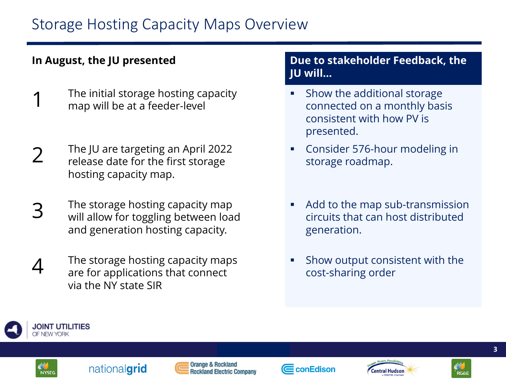### **In August, the JU presented**

- The initial storage hosting capacity map will be at a feeder-level
- 2 The JU are targeting an April 2022<br>
release date for the first storage hosting capacity map.
- 3 The storage hosting capacity map<br>
3 Will allow for toggling between load and generation hosting capacity.
- **4** The storage hosting capacity maps are for applications that connect via the NY state SIR

### **Due to stakeholder Feedback, the JU will…**

- § Show the additional storage connected on a monthly basis consistent with how PV is presented.
- § Consider 576-hour modeling in storage roadmap.
- § Add to the map sub-transmission circuits that can host distributed generation.
- § Show output consistent with the cost-sharing order





Orange & Rockland **Rockland Electric Company** 





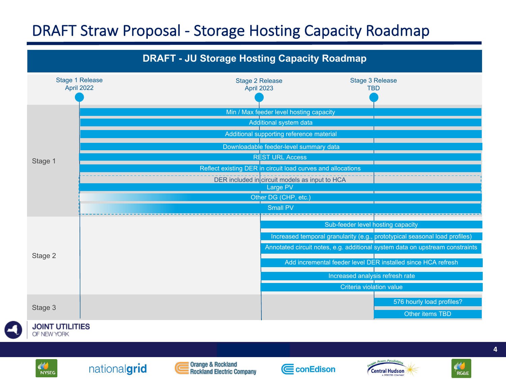### DRAFT Straw Proposal - Storage Hosting Capacity Roadmap





**NYSEG** 

nationalgrid









*draft for discussion* **4**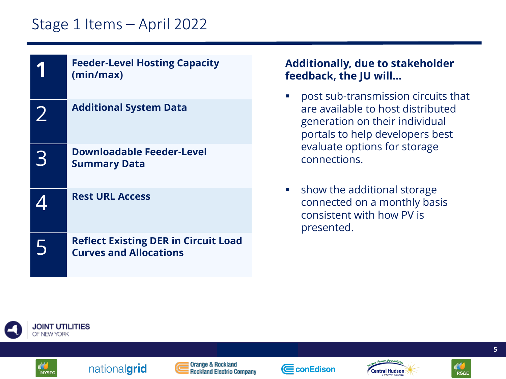### Stage 1 Items – April 2022

| <b>Feeder-Level Hosting Capacity</b><br>(min/max)                            | <b>Additionally, due to stakeholder</b><br>feedback, the JU will                                                                              |
|------------------------------------------------------------------------------|-----------------------------------------------------------------------------------------------------------------------------------------------|
| <b>Additional System Data</b>                                                | post sub-transmission circuits that<br>are available to host distributed<br>generation on their individual<br>portals to help developers best |
| <b>Downloadable Feeder-Level</b><br><b>Summary Data</b>                      | evaluate options for storage<br>connections.                                                                                                  |
| <b>Rest URL Access</b>                                                       | show the additional storage<br>connected on a monthly basis<br>consistent with how PV is<br>presented.                                        |
| <b>Reflect Existing DER in Circuit Load</b><br><b>Curves and Allocations</b> |                                                                                                                                               |









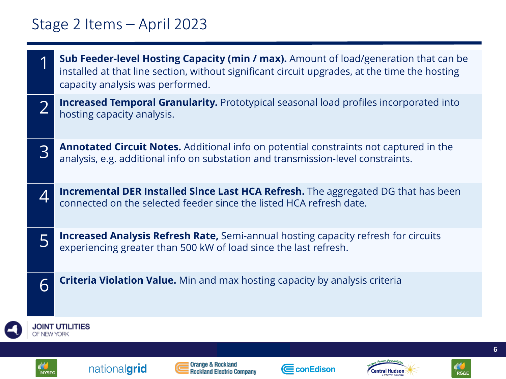### Stage 2 Items – April 2023

 $\Box$ 

|                          | <b>Sub Feeder-level Hosting Capacity (min / max).</b> Amount of load/generation that can be<br>installed at that line section, without significant circuit upgrades, at the time the hosting<br>capacity analysis was performed. |  |
|--------------------------|----------------------------------------------------------------------------------------------------------------------------------------------------------------------------------------------------------------------------------|--|
|                          | <b>Increased Temporal Granularity.</b> Prototypical seasonal load profiles incorporated into<br>hosting capacity analysis.                                                                                                       |  |
| 3                        | <b>Annotated Circuit Notes.</b> Additional info on potential constraints not captured in the<br>analysis, e.g. additional info on substation and transmission-level constraints.                                                 |  |
| $\boldsymbol{\varDelta}$ | <b>Incremental DER Installed Since Last HCA Refresh.</b> The aggregated DG that has been<br>connected on the selected feeder since the listed HCA refresh date.                                                                  |  |
| 5                        | <b>Increased Analysis Refresh Rate, Semi-annual hosting capacity refresh for circuits</b><br>experiencing greater than 500 kW of load since the last refresh.                                                                    |  |
| 6                        | <b>Criteria Violation Value.</b> Min and max hosting capacity by analysis criteria                                                                                                                                               |  |
| OF NEW YORK              | <b>JOINT UTILITIES</b>                                                                                                                                                                                                           |  |
|                          |                                                                                                                                                                                                                                  |  |
| <b>NYSEG</b>             | Orange & Rockland<br>nationalgrid<br>CconEdison<br><b>Central Hudson</b><br><b>Rockland Electric Company</b>                                                                                                                     |  |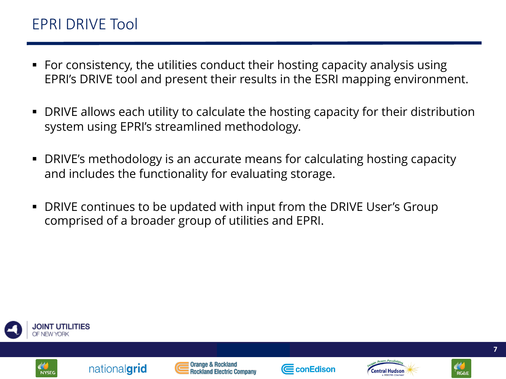- § For consistency, the utilities conduct their hosting capacity analysis using EPRI's DRIVE tool and present their results in the ESRI mapping environment.
- § DRIVE allows each utility to calculate the hosting capacity for their distribution system using EPRI's streamlined methodology.
- § DRIVE's methodology is an accurate means for calculating hosting capacity and includes the functionality for evaluating storage.
- § DRIVE continues to be updated with input from the DRIVE User's Group comprised of a broader group of utilities and EPRI.







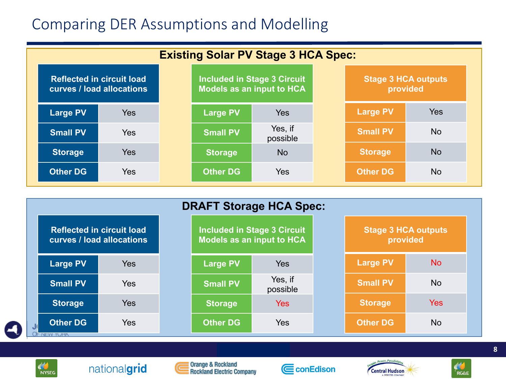### Comparing DER Assumptions and Modelling

| <b>Existing Solar PV Stage 3 HCA Spec:</b>                    |            |                                                                 |                 |                                        |  |                 |            |  |
|---------------------------------------------------------------|------------|-----------------------------------------------------------------|-----------------|----------------------------------------|--|-----------------|------------|--|
| <b>Reflected in circuit load</b><br>curves / load allocations |            | Included in Stage 3 Circuit<br><b>Models as an input to HCA</b> |                 | <b>Stage 3 HCA outputs</b><br>provided |  |                 |            |  |
| <b>Large PV</b>                                               | <b>Yes</b> |                                                                 | <b>Large PV</b> | <b>Yes</b>                             |  | <b>Large PV</b> | <b>Yes</b> |  |
| <b>Small PV</b>                                               | <b>Yes</b> |                                                                 | <b>Small PV</b> | Yes, if<br>possible                    |  | <b>Small PV</b> | <b>No</b>  |  |
| <b>Storage</b>                                                | <b>Yes</b> |                                                                 | <b>Storage</b>  | <b>No</b>                              |  | <b>Storage</b>  | <b>No</b>  |  |
| <b>Other DG</b>                                               | <b>Yes</b> |                                                                 | <b>Other DG</b> | <b>Yes</b>                             |  | <b>Other DG</b> | <b>No</b>  |  |

|    | <b>DRAFT Storage HCA Spec:</b>                                |            |  |                 |                                                                 |                                        |                 |           |  |  |
|----|---------------------------------------------------------------|------------|--|-----------------|-----------------------------------------------------------------|----------------------------------------|-----------------|-----------|--|--|
|    | <b>Reflected in circuit load</b><br>curves / load allocations |            |  |                 | <b>Included in Stage 3 Circuit</b><br>Models as an input to HCA | <b>Stage 3 HCA outputs</b><br>provided |                 |           |  |  |
|    | <b>Large PV</b>                                               | <b>Yes</b> |  | <b>Large PV</b> | <b>Yes</b>                                                      |                                        | <b>Large PV</b> | <b>No</b> |  |  |
|    | <b>Small PV</b>                                               | Yes        |  | <b>Small PV</b> | Yes, if<br>possible                                             |                                        | <b>Small PV</b> | <b>No</b> |  |  |
|    | <b>Storage</b>                                                | <b>Yes</b> |  | <b>Storage</b>  | <b>Yes</b>                                                      |                                        | <b>Storage</b>  | Yes       |  |  |
| J) | <b>Other DG</b>                                               | <b>Yes</b> |  | <b>Other DG</b> | Yes                                                             |                                        | <b>Other DG</b> | No        |  |  |
|    | OF INEW YURK                                                  |            |  |                 |                                                                 |                                        |                 |           |  |  |





i Orange & Rockland<br>I Rockland Electric Company





*draft for discussion* **8**

 $\frac{d}{dR}$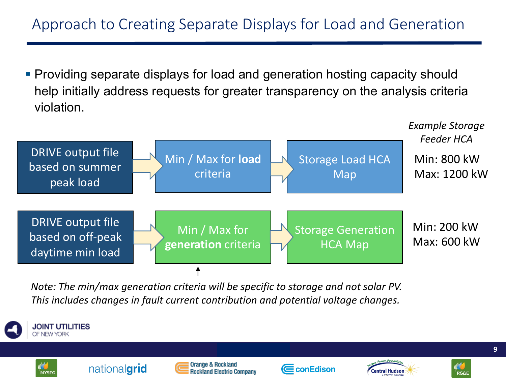### Approach to Creating Separate Displays for Load and Generation

§ Providing separate displays for load and generation hosting capacity should help initially address requests for greater transparency on the analysis criteria violation.



*Note: The min/max generation criteria will be specific to storage and not solar PV. This includes changes in fault current contribution and potential voltage changes.*









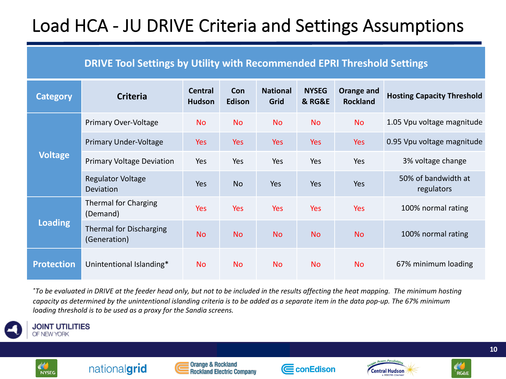## Load HCA - JU DRIVE Criteria and Settings Assumptions

### **DRIVE Tool Settings by Utility with Recommended EPRI Threshold Settings**

| <b>Category</b>   | <b>Criteria</b>                                | <b>Central</b><br><b>Hudson</b> | Con<br>Edison | <b>National</b><br>Grid | <b>NYSEG</b><br><b>&amp; RG&amp;E</b> | Orange and<br><b>Rockland</b> | <b>Hosting Capacity Threshold</b> |
|-------------------|------------------------------------------------|---------------------------------|---------------|-------------------------|---------------------------------------|-------------------------------|-----------------------------------|
| <b>Voltage</b>    | Primary Over-Voltage                           | <b>No</b>                       | <b>No</b>     | <b>No</b>               | <b>No</b>                             | <b>No</b>                     | 1.05 Vpu voltage magnitude        |
|                   | <b>Primary Under-Voltage</b>                   | <b>Yes</b>                      | <b>Yes</b>    | <b>Yes</b>              | <b>Yes</b>                            | Yes                           | 0.95 Vpu voltage magnitude        |
|                   | <b>Primary Voltage Deviation</b>               | Yes                             | Yes           | Yes                     | Yes                                   | Yes                           | 3% voltage change                 |
|                   | <b>Regulator Voltage</b><br>Deviation          | <b>Yes</b>                      | <b>No</b>     | Yes                     | Yes                                   | Yes                           | 50% of bandwidth at<br>regulators |
| <b>Loading</b>    | Thermal for Charging<br>(Demand)               | <b>Yes</b>                      | <b>Yes</b>    | Yes                     | <b>Yes</b>                            | Yes                           | 100% normal rating                |
|                   | <b>Thermal for Discharging</b><br>(Generation) | <b>No</b>                       | <b>No</b>     | <b>No</b>               | <b>No</b>                             | <b>No</b>                     | 100% normal rating                |
| <b>Protection</b> | Unintentional Islanding*                       | No.                             | <b>No</b>     | <b>No</b>               | <b>No</b>                             | <b>No</b>                     | 67% minimum loading               |

*\*To be evaluated in DRIVE at the feeder head only, but not to be included in the results affecting the heat mapping. The minimum hosting capacity as determined by the unintentional islanding criteria is to be added as a separate item in the data pop-up. The 67% minimum loading threshold is to be used as a proxy for the Sandia screens.*



**JOINT UTILITIES** OF NEW YORK



**Orange & Rockland Rockland Electric Company** 







*draft for discussion* **10**

**RG&E**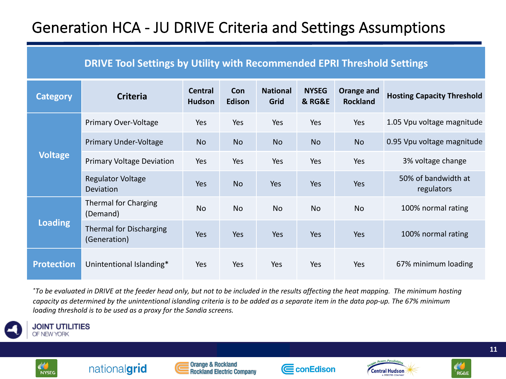### Generation HCA - JU DRIVE Criteria and Settings Assumptions

### **DRIVE Tool Settings by Utility with Recommended EPRI Threshold Settings**

| <b>Category</b>   | <b>Criteria</b>                                | Central<br><b>Hudson</b> | Con<br>Edison | <b>National</b><br>Grid | <b>NYSEG</b><br><b>&amp; RG&amp;E</b> | Orange and<br><b>Rockland</b> | <b>Hosting Capacity Threshold</b> |
|-------------------|------------------------------------------------|--------------------------|---------------|-------------------------|---------------------------------------|-------------------------------|-----------------------------------|
|                   | Primary Over-Voltage                           | <b>Yes</b>               | Yes           | Yes                     | Yes                                   | Yes                           | 1.05 Vpu voltage magnitude        |
|                   | <b>Primary Under-Voltage</b>                   | <b>No</b>                | <b>No</b>     | <b>No</b>               | <b>No</b>                             | <b>No</b>                     | 0.95 Vpu voltage magnitude        |
| <b>Voltage</b>    | <b>Primary Voltage Deviation</b>               | Yes                      | Yes           | Yes                     | Yes                                   | Yes                           | 3% voltage change                 |
|                   | <b>Regulator Voltage</b><br><b>Deviation</b>   | Yes                      | <b>No</b>     | Yes                     | Yes                                   | Yes                           | 50% of bandwidth at<br>regulators |
| <b>Loading</b>    | Thermal for Charging<br>(Demand)               | <b>No</b>                | <b>No</b>     | <b>No</b>               | <b>No</b>                             | <b>No</b>                     | 100% normal rating                |
|                   | <b>Thermal for Discharging</b><br>(Generation) | Yes                      | Yes           | Yes                     | Yes                                   | Yes                           | 100% normal rating                |
| <b>Protection</b> | Unintentional Islanding*                       | <b>Yes</b>               | Yes           | Yes                     | Yes                                   | Yes                           | 67% minimum loading               |

*\*To be evaluated in DRIVE at the feeder head only, but not to be included in the results affecting the heat mapping. The minimum hosting capacity as determined by the unintentional islanding criteria is to be added as a separate item in the data pop-up. The 67% minimum loading threshold is to be used as a proxy for the Sandia screens.*



**JOINT UTILITIES** OF NEW YORK



**Orange & Rockland Rockland Electric Company** 







**RG&E**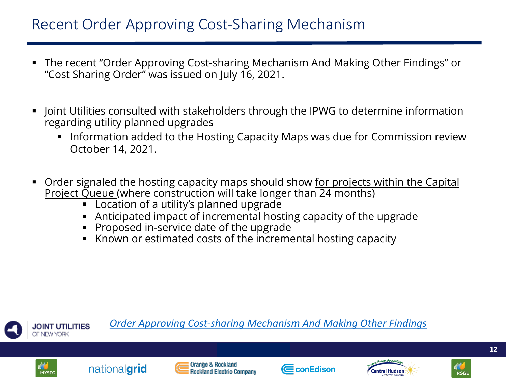## Recent Order Approving Cost-Sharing Mechanism

- The recent "Order Approving Cost-sharing Mechanism And Making Other Findir "Cost Sharing Order" was issued on July 16, 2021.
- Joint Utilities consulted with stakeholders through the IPWG to determine infore regarding utility planned upgrades
	- Information added to the Hosting Capacity Maps was due for Commission Octobe[r 14, 2021.](https://documents.dps.ny.gov/public/Common/ViewDoc.aspx?DocRefId=%7b73FC964F-A7C2-45D0-BB06-8FB2720F9C5C%7d)
- Order signaled the hosting capacity maps should show for projects within the Corder Project Queue (where construction will take longer than 24 months)
	- § Location of a utility's planned upgrade
	- § Anticipated impact of incremental hosting capacity of the upgrade

**E**conEdison

**Central Hudson** 

§ Proposed in-service date of the upgrade

nationalgrid

**NYSEG** 

Known or estimated costs of the incremental hosting capacity



**Rockland Electric Company**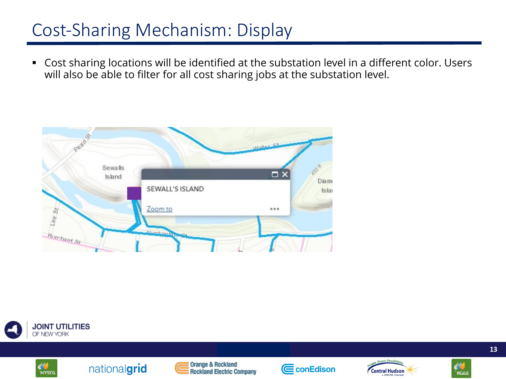## Cost-Sharing Mechanism: Display

§ Cost sharing locations will be identified at the substation level in a different color. Users will also be able to filter for all cost sharing jobs at the substation level.













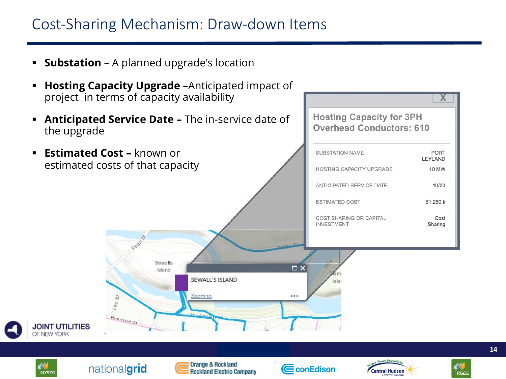### Cost-Sharing Mechanism: Draw-down Items

**Substation –** A planned upgrade's location

nationalgrid

**NYSEG** 

- **E** Hosting Capacity Upgrade -Anticipated impact of project in terms of capacity availability
- **Anticipated Service Date The in-service date of** the upgrade



**Rockland Electric Company** 

**∈**conEdison

**Hosting Capacity for 3PH Overhead Conductors: 610** 

**Central Hudson** 

**RG&E**